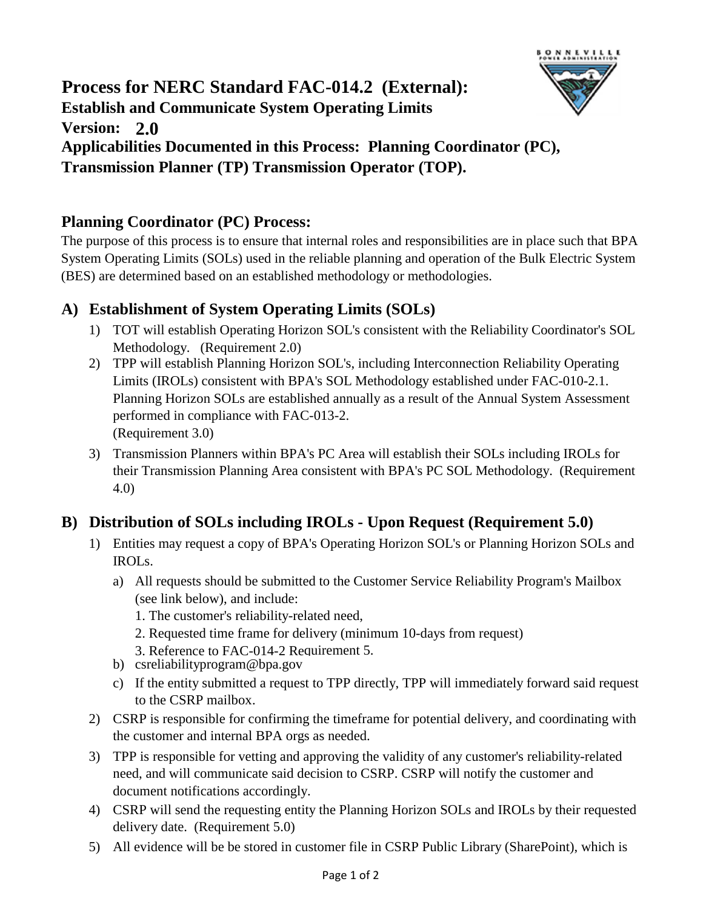# **2.0 Version: Process for NERC Standard FAC-014.2 (External): Establish and Communicate System Operating Limits Applicabilities Documented in this Process: Planning Coordinator (PC), Transmission Planner (TP) Transmission Operator (TOP).**

## **Planning Coordinator (PC) Process:**

The purpose of this process is to ensure that internal roles and responsibilities are in place such that BPA System Operating Limits (SOLs) used in the reliable planning and operation of the Bulk Electric System (BES) are determined based on an established methodology or methodologies.

**BONNEVILLE** 

## **A) Establishment of System Operating Limits (SOLs)**

- 1) TOT will establish Operating Horizon SOL's consistent with the Reliability Coordinator's SOL Methodology. (Requirement 2.0)
- 2) TPP will establish Planning Horizon SOL's, including Interconnection Reliability Operating Limits (IROLs) consistent with BPA's SOL Methodology established under FAC-010-2.1. Planning Horizon SOLs are established annually as a result of the Annual System Assessment performed in compliance with FAC-013-2. (Requirement 3.0)
- 3) Transmission Planners within BPA's PC Area will establish their SOLs including IROLs for their Transmission Planning Area consistent with BPA's PC SOL Methodology. (Requirement 4.0)

## **B) Distribution of SOLs including IROLs - Upon Request (Requirement 5.0)**

- 1) Entities may request a copy of BPA's Operating Horizon SOL's or Planning Horizon SOLs and IROLs.
	- a) All requests should be submitted to the Customer Service Reliability Program's Mailbox (see link below), and include:
		- 1. The customer's reliability-related need,
		- 2. Requested time frame for delivery (minimum 10-days from request)
		- 3. Reference to FAC-014-2 Requirement 5.
	- b) csreliabilityprogram@bpa.gov
	- c) If the entity submitted a request to TPP directly, TPP will immediately forward said request to the CSRP mailbox.
- 2) CSRP is responsible for confirming the timeframe for potential delivery, and coordinating with the customer and internal BPA orgs as needed.
- 3) TPP is responsible for vetting and approving the validity of any customer's reliability-related need, and will communicate said decision to CSRP. CSRP will notify the customer and document notifications accordingly.
- 4) CSRP will send the requesting entity the Planning Horizon SOLs and IROLs by their requested delivery date. (Requirement 5.0)
- 5) All evidence will be be stored in customer file in CSRP Public Library (SharePoint), which is